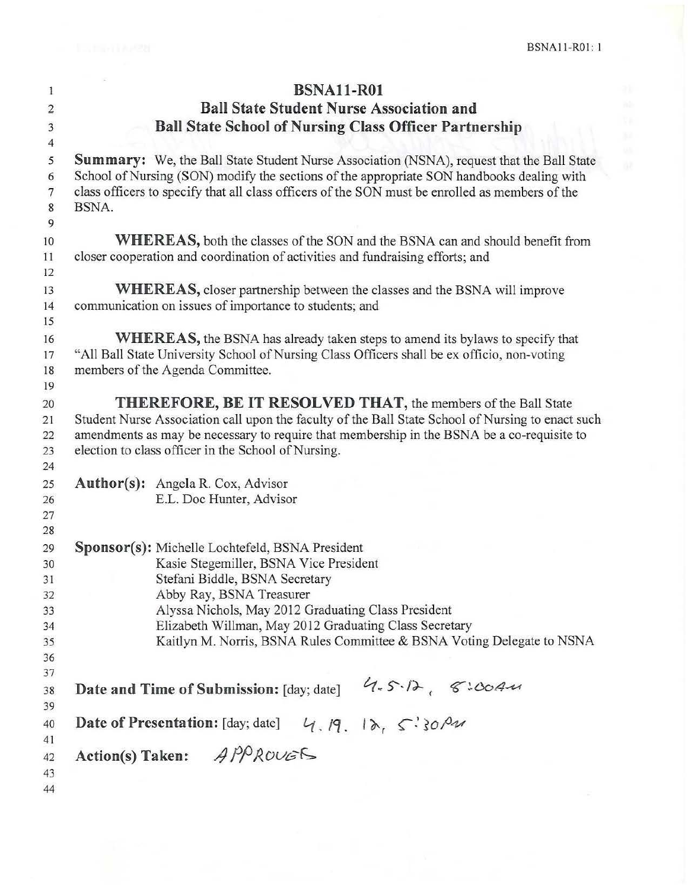| $\mathbf{1}$               | <b>BSNA11-R01</b>                                                                                                                                                                                                        |  |  |  |  |  |
|----------------------------|--------------------------------------------------------------------------------------------------------------------------------------------------------------------------------------------------------------------------|--|--|--|--|--|
| $\overline{2}$             | <b>Ball State Student Nurse Association and</b>                                                                                                                                                                          |  |  |  |  |  |
| $\overline{3}$             | <b>Ball State School of Nursing Class Officer Partnership</b>                                                                                                                                                            |  |  |  |  |  |
| $\overline{4}$             |                                                                                                                                                                                                                          |  |  |  |  |  |
| 5<br>6                     | <b>Summary:</b> We, the Ball State Student Nurse Association (NSNA), request that the Ball State<br>School of Nursing (SON) modify the sections of the appropriate SON handbooks dealing with                            |  |  |  |  |  |
| $\boldsymbol{7}$<br>8<br>9 | class officers to specify that all class officers of the SON must be enrolled as members of the<br>BSNA.                                                                                                                 |  |  |  |  |  |
| 10                         | <b>WHEREAS</b> , both the classes of the SON and the BSNA can and should benefit from                                                                                                                                    |  |  |  |  |  |
| 11<br>12                   | closer cooperation and coordination of activities and fundraising efforts; and                                                                                                                                           |  |  |  |  |  |
| 13<br>14                   | <b>WHEREAS</b> , closer partnership between the classes and the BSNA will improve<br>communication on issues of importance to students; and                                                                              |  |  |  |  |  |
| 15                         |                                                                                                                                                                                                                          |  |  |  |  |  |
| 16<br>17<br>18<br>19       | <b>WHEREAS</b> , the BSNA has already taken steps to amend its bylaws to specify that<br>"All Ball State University School of Nursing Class Officers shall be ex officio, non-voting<br>members of the Agenda Committee. |  |  |  |  |  |
| 20                         | THEREFORE, BE IT RESOLVED THAT, the members of the Ball State                                                                                                                                                            |  |  |  |  |  |
| 21                         | Student Nurse Association call upon the faculty of the Ball State School of Nursing to enact such                                                                                                                        |  |  |  |  |  |
| 22                         | amendments as may be necessary to require that membership in the BSNA be a co-requisite to                                                                                                                               |  |  |  |  |  |
| 23<br>24                   | election to class officer in the School of Nursing.                                                                                                                                                                      |  |  |  |  |  |
| 25                         | <b>Author(s):</b> Angela R. Cox, Advisor                                                                                                                                                                                 |  |  |  |  |  |
| 26                         | E.L. Doc Hunter, Advisor                                                                                                                                                                                                 |  |  |  |  |  |
| 27                         |                                                                                                                                                                                                                          |  |  |  |  |  |
| 28                         |                                                                                                                                                                                                                          |  |  |  |  |  |
| 29<br>30                   | Sponsor(s): Michelle Lochtefeld, BSNA President                                                                                                                                                                          |  |  |  |  |  |
| 31                         | Kasie Stegemiller, BSNA Vice President<br>Stefani Biddle, BSNA Secretary                                                                                                                                                 |  |  |  |  |  |
| 32                         | Abby Ray, BSNA Treasurer                                                                                                                                                                                                 |  |  |  |  |  |
| 33                         | Alyssa Nichols, May 2012 Graduating Class President                                                                                                                                                                      |  |  |  |  |  |
| 34                         | Elizabeth Willman, May 2012 Graduating Class Secretary                                                                                                                                                                   |  |  |  |  |  |
| 35                         | Kaitlyn M. Norris, BSNA Rules Committee & BSNA Voting Delegate to NSNA                                                                                                                                                   |  |  |  |  |  |
| 36                         |                                                                                                                                                                                                                          |  |  |  |  |  |
| 37                         |                                                                                                                                                                                                                          |  |  |  |  |  |
| 38<br>39                   | 4.5.12,8.0044<br>Date and Time of Submission: [day; date]                                                                                                                                                                |  |  |  |  |  |
| 40<br>41                   | Date of Presentation: [day; date] $4, 19, 18, 5$ ? 30 $9$                                                                                                                                                                |  |  |  |  |  |
| 42<br>43                   | Action(s) Taken: $A P^O R^O U E^S$                                                                                                                                                                                       |  |  |  |  |  |
| 44                         |                                                                                                                                                                                                                          |  |  |  |  |  |
|                            |                                                                                                                                                                                                                          |  |  |  |  |  |